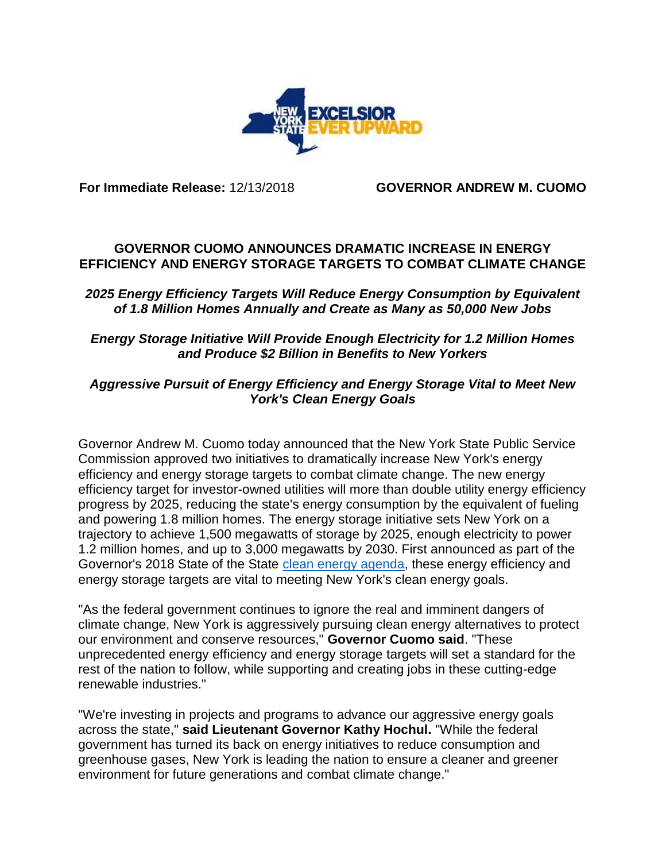

**For Immediate Release:** 12/13/2018 **GOVERNOR ANDREW M. CUOMO**

# **GOVERNOR CUOMO ANNOUNCES DRAMATIC INCREASE IN ENERGY EFFICIENCY AND ENERGY STORAGE TARGETS TO COMBAT CLIMATE CHANGE**

### *2025 Energy Efficiency Targets Will Reduce Energy Consumption by Equivalent of 1.8 Million Homes Annually and Create as Many as 50,000 New Jobs*

### *Energy Storage Initiative Will Provide Enough Electricity for 1.2 Million Homes and Produce \$2 Billion in Benefits to New Yorkers*

# *Aggressive Pursuit of Energy Efficiency and Energy Storage Vital to Meet New York's Clean Energy Goals*

Governor Andrew M. Cuomo today announced that the New York State Public Service Commission approved two initiatives to dramatically increase New York's energy efficiency and energy storage targets to combat climate change. The new energy efficiency target for investor-owned utilities will more than double utility energy efficiency progress by 2025, reducing the state's energy consumption by the equivalent of fueling and powering 1.8 million homes. The energy storage initiative sets New York on a trajectory to achieve 1,500 megawatts of storage by 2025, enough electricity to power 1.2 million homes, and up to 3,000 megawatts by 2030. First announced as part of the Governor's 2018 State of the State [clean energy agenda,](https://www.governor.ny.gov/news/governor-cuomo-unveils-20th-proposal-2018-state-state-new-yorks-clean-energy-jobs-and-climate) these energy efficiency and energy storage targets are vital to meeting New York's clean energy goals.

"As the federal government continues to ignore the real and imminent dangers of climate change, New York is aggressively pursuing clean energy alternatives to protect our environment and conserve resources," **Governor Cuomo said**. "These unprecedented energy efficiency and energy storage targets will set a standard for the rest of the nation to follow, while supporting and creating jobs in these cutting-edge renewable industries."

"We're investing in projects and programs to advance our aggressive energy goals across the state," **said Lieutenant Governor Kathy Hochul.** "While the federal government has turned its back on energy initiatives to reduce consumption and greenhouse gases, New York is leading the nation to ensure a cleaner and greener environment for future generations and combat climate change."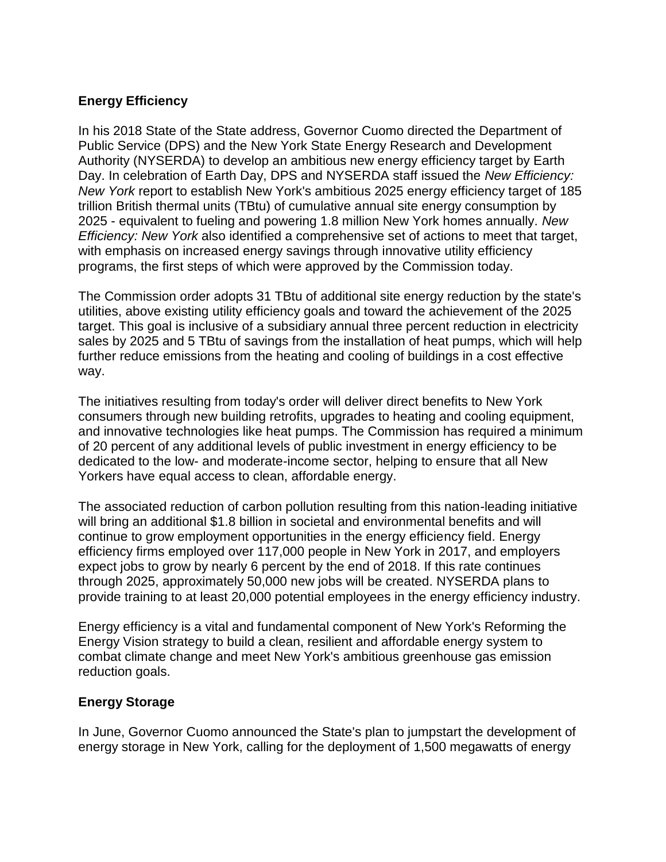# **Energy Efficiency**

In his 2018 State of the State address, Governor Cuomo directed the Department of Public Service (DPS) and the New York State Energy Research and Development Authority (NYSERDA) to develop an ambitious new energy efficiency target by Earth Day. In celebration of Earth Day, DPS and NYSERDA staff issued the *New Efficiency: New York* report to establish New York's ambitious 2025 energy efficiency target of 185 trillion British thermal units (TBtu) of cumulative annual site energy consumption by 2025 - equivalent to fueling and powering 1.8 million New York homes annually. *New Efficiency: New York* also identified a comprehensive set of actions to meet that target, with emphasis on increased energy savings through innovative utility efficiency programs, the first steps of which were approved by the Commission today.

The Commission order adopts 31 TBtu of additional site energy reduction by the state's utilities, above existing utility efficiency goals and toward the achievement of the 2025 target. This goal is inclusive of a subsidiary annual three percent reduction in electricity sales by 2025 and 5 TBtu of savings from the installation of heat pumps, which will help further reduce emissions from the heating and cooling of buildings in a cost effective way.

The initiatives resulting from today's order will deliver direct benefits to New York consumers through new building retrofits, upgrades to heating and cooling equipment, and innovative technologies like heat pumps. The Commission has required a minimum of 20 percent of any additional levels of public investment in energy efficiency to be dedicated to the low- and moderate-income sector, helping to ensure that all New Yorkers have equal access to clean, affordable energy.

The associated reduction of carbon pollution resulting from this nation-leading initiative will bring an additional \$1.8 billion in societal and environmental benefits and will continue to grow employment opportunities in the energy efficiency field. Energy efficiency firms employed over 117,000 people in New York in 2017, and employers expect jobs to grow by nearly 6 percent by the end of 2018. If this rate continues through 2025, approximately 50,000 new jobs will be created. NYSERDA plans to provide training to at least 20,000 potential employees in the energy efficiency industry.

Energy efficiency is a vital and fundamental component of New York's Reforming the Energy Vision strategy to build a clean, resilient and affordable energy system to combat climate change and meet New York's ambitious greenhouse gas emission reduction goals.

#### **Energy Storage**

In June, Governor Cuomo announced the State's plan to jumpstart the development of energy storage in New York, calling for the deployment of 1,500 megawatts of energy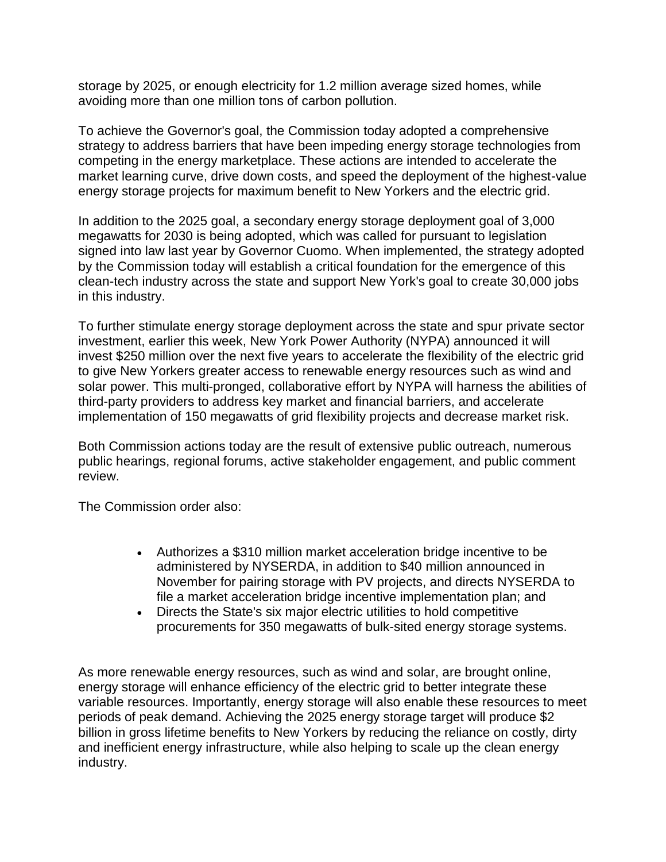storage by 2025, or enough electricity for 1.2 million average sized homes, while avoiding more than one million tons of carbon pollution.

To achieve the Governor's goal, the Commission today adopted a comprehensive strategy to address barriers that have been impeding energy storage technologies from competing in the energy marketplace. These actions are intended to accelerate the market learning curve, drive down costs, and speed the deployment of the highest-value energy storage projects for maximum benefit to New Yorkers and the electric grid.

In addition to the 2025 goal, a secondary energy storage deployment goal of 3,000 megawatts for 2030 is being adopted, which was called for pursuant to legislation signed into law last year by Governor Cuomo. When implemented, the strategy adopted by the Commission today will establish a critical foundation for the emergence of this clean-tech industry across the state and support New York's goal to create 30,000 jobs in this industry.

To further stimulate energy storage deployment across the state and spur private sector investment, earlier this week, New York Power Authority (NYPA) announced it will invest \$250 million over the next five years to accelerate the flexibility of the electric grid to give New Yorkers greater access to renewable energy resources such as wind and solar power. This multi-pronged, collaborative effort by NYPA will harness the abilities of third-party providers to address key market and financial barriers, and accelerate implementation of 150 megawatts of grid flexibility projects and decrease market risk.

Both Commission actions today are the result of extensive public outreach, numerous public hearings, regional forums, active stakeholder engagement, and public comment review.

The Commission order also:

- Authorizes a \$310 million market acceleration bridge incentive to be administered by NYSERDA, in addition to \$40 million announced in November for pairing storage with PV projects, and directs NYSERDA to file a market acceleration bridge incentive implementation plan; and
- Directs the State's six major electric utilities to hold competitive procurements for 350 megawatts of bulk-sited energy storage systems.

As more renewable energy resources, such as wind and solar, are brought online, energy storage will enhance efficiency of the electric grid to better integrate these variable resources. Importantly, energy storage will also enable these resources to meet periods of peak demand. Achieving the 2025 energy storage target will produce \$2 billion in gross lifetime benefits to New Yorkers by reducing the reliance on costly, dirty and inefficient energy infrastructure, while also helping to scale up the clean energy industry.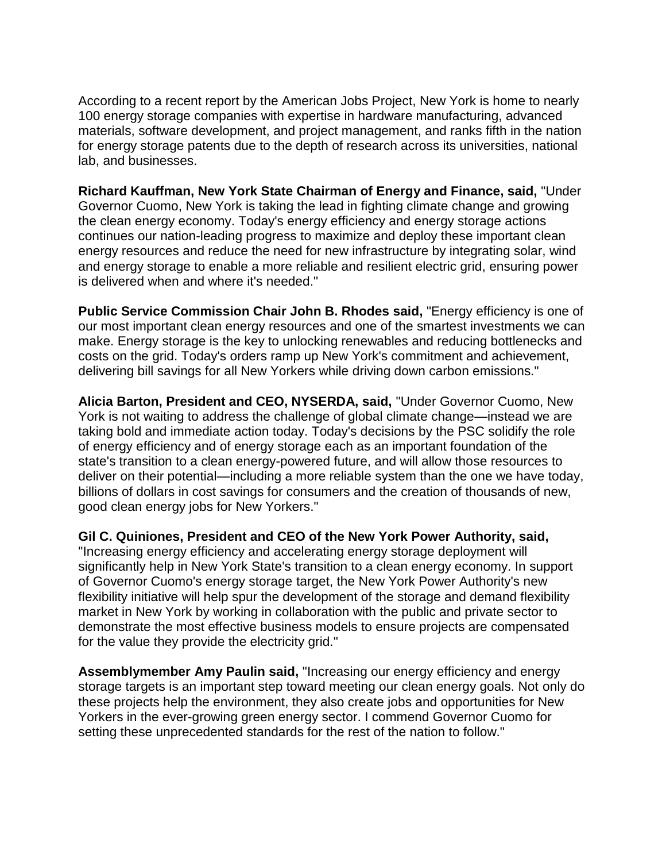According to a recent report by the American Jobs Project, New York is home to nearly 100 energy storage companies with expertise in hardware manufacturing, advanced materials, software development, and project management, and ranks fifth in the nation for energy storage patents due to the depth of research across its universities, national lab, and businesses.

**Richard Kauffman, New York State Chairman of Energy and Finance, said,** "Under Governor Cuomo, New York is taking the lead in fighting climate change and growing the clean energy economy. Today's energy efficiency and energy storage actions continues our nation-leading progress to maximize and deploy these important clean energy resources and reduce the need for new infrastructure by integrating solar, wind and energy storage to enable a more reliable and resilient electric grid, ensuring power is delivered when and where it's needed."

**Public Service Commission Chair John B. Rhodes said,** "Energy efficiency is one of our most important clean energy resources and one of the smartest investments we can make. Energy storage is the key to unlocking renewables and reducing bottlenecks and costs on the grid. Today's orders ramp up New York's commitment and achievement, delivering bill savings for all New Yorkers while driving down carbon emissions."

**Alicia Barton, President and CEO, NYSERDA, said,** "Under Governor Cuomo, New York is not waiting to address the challenge of global climate change—instead we are taking bold and immediate action today. Today's decisions by the PSC solidify the role of energy efficiency and of energy storage each as an important foundation of the state's transition to a clean energy-powered future, and will allow those resources to deliver on their potential—including a more reliable system than the one we have today, billions of dollars in cost savings for consumers and the creation of thousands of new, good clean energy jobs for New Yorkers."

**Gil C. Quiniones, President and CEO of the New York Power Authority, said,**  "Increasing energy efficiency and accelerating energy storage deployment will significantly help in New York State's transition to a clean energy economy. In support of Governor Cuomo's energy storage target, the New York Power Authority's new flexibility initiative will help spur the development of the storage and demand flexibility market in New York by working in collaboration with the public and private sector to demonstrate the most effective business models to ensure projects are compensated

for the value they provide the electricity grid."

**Assemblymember Amy Paulin said,** "Increasing our energy efficiency and energy storage targets is an important step toward meeting our clean energy goals. Not only do these projects help the environment, they also create jobs and opportunities for New Yorkers in the ever-growing green energy sector. I commend Governor Cuomo for setting these unprecedented standards for the rest of the nation to follow."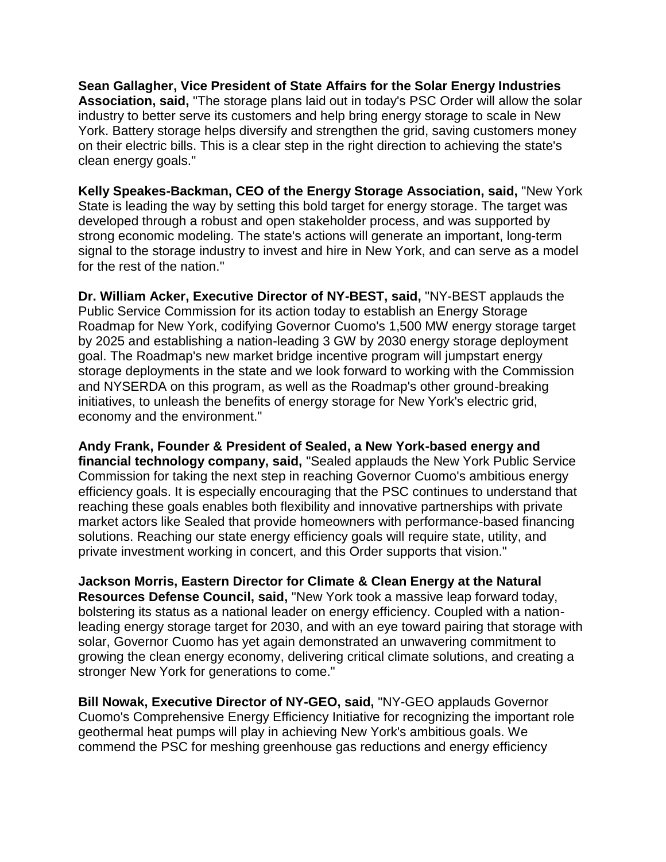**Sean Gallagher, Vice President of State Affairs for the Solar Energy Industries Association, said,** "The storage plans laid out in today's PSC Order will allow the solar industry to better serve its customers and help bring energy storage to scale in New York. Battery storage helps diversify and strengthen the grid, saving customers money on their electric bills. This is a clear step in the right direction to achieving the state's clean energy goals."

**Kelly Speakes-Backman, CEO of the Energy Storage Association, said,** "New York State is leading the way by setting this bold target for energy storage. The target was developed through a robust and open stakeholder process, and was supported by strong economic modeling. The state's actions will generate an important, long-term signal to the storage industry to invest and hire in New York, and can serve as a model for the rest of the nation."

**Dr. William Acker, Executive Director of NY-BEST, said,** "NY-BEST applauds the Public Service Commission for its action today to establish an Energy Storage Roadmap for New York, codifying Governor Cuomo's 1,500 MW energy storage target by 2025 and establishing a nation-leading 3 GW by 2030 energy storage deployment goal. The Roadmap's new market bridge incentive program will jumpstart energy storage deployments in the state and we look forward to working with the Commission and NYSERDA on this program, as well as the Roadmap's other ground-breaking initiatives, to unleash the benefits of energy storage for New York's electric grid, economy and the environment."

**Andy Frank, Founder & President of Sealed, a New York-based energy and financial technology company, said,** "Sealed applauds the New York Public Service Commission for taking the next step in reaching Governor Cuomo's ambitious energy efficiency goals. It is especially encouraging that the PSC continues to understand that reaching these goals enables both flexibility and innovative partnerships with private market actors like Sealed that provide homeowners with performance-based financing solutions. Reaching our state energy efficiency goals will require state, utility, and private investment working in concert, and this Order supports that vision."

**Jackson Morris, Eastern Director for Climate & Clean Energy at the Natural Resources Defense Council, said,** "New York took a massive leap forward today, bolstering its status as a national leader on energy efficiency. Coupled with a nationleading energy storage target for 2030, and with an eye toward pairing that storage with solar, Governor Cuomo has yet again demonstrated an unwavering commitment to growing the clean energy economy, delivering critical climate solutions, and creating a stronger New York for generations to come."

**Bill Nowak, Executive Director of NY-GEO, said,** "NY-GEO applauds Governor Cuomo's Comprehensive Energy Efficiency Initiative for recognizing the important role geothermal heat pumps will play in achieving New York's ambitious goals. We commend the PSC for meshing greenhouse gas reductions and energy efficiency